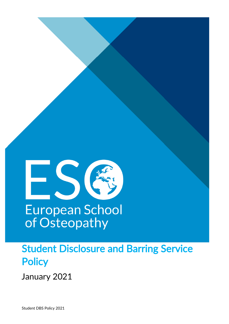

# Student Disclosure and Barring Service **Policy**

January 2021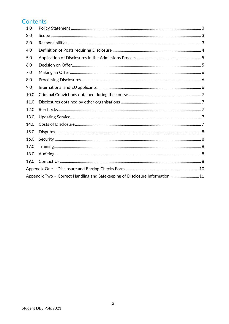# **Contents**

| 1.0                                                                          |  |  |
|------------------------------------------------------------------------------|--|--|
| 2.0                                                                          |  |  |
| 3.0                                                                          |  |  |
| 4.0                                                                          |  |  |
| 5.0                                                                          |  |  |
| 6.0                                                                          |  |  |
| 7.0                                                                          |  |  |
| 8.0                                                                          |  |  |
| 9.0                                                                          |  |  |
| 10.0                                                                         |  |  |
| 11.0                                                                         |  |  |
| 12.0                                                                         |  |  |
| 13.0                                                                         |  |  |
| 14.0                                                                         |  |  |
| 15.0                                                                         |  |  |
| 16.0                                                                         |  |  |
| 17.0                                                                         |  |  |
| 18.0                                                                         |  |  |
| 19.0                                                                         |  |  |
|                                                                              |  |  |
| Appendix Two - Correct Handling and Safekeeping of Disclosure Information 11 |  |  |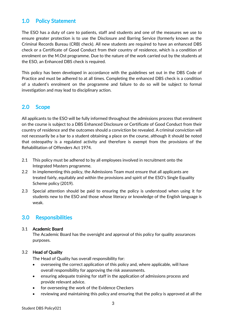# <span id="page-2-0"></span>1.0 Policy Statement

The ESO has a duty of care to patients, staff and students and one of the measures we use to ensure greater protection is to use the Disclosure and Barring Service (formerly known as the Criminal Records Bureau (CRB) check). All new students are required to have an enhanced DBS check or a Certificate of Good Conduct from their country of residence, which is a condition of enrolment on the M.Ost programme. Due to the nature of the work carried out by the students at the ESO, an Enhanced DBS check is required.

This policy has been developed in accordance with the guidelines set out in the DBS Code of Practice and must be adhered to at all times. Completing the enhanced DBS check is a condition of a student's enrolment on the programme and failure to do so will be subject to formal investigation and may lead to disciplinary action.

### <span id="page-2-1"></span>2.0 Scope

All applicants to the ESO will be fully informed throughout the admissions process that enrolment on the course is subject to a DBS Enhanced Disclosure or Certificate of Good Conduct from their country of residence and the outcomes should a conviction be revealed. A criminal conviction will not necessarily be a bar to a student obtaining a place on the course, although it should be noted that osteopathy is a regulated activity and therefore is exempt from the provisions of the Rehabilitation of Offenders Act 1974.

- 2.1 This policy must be adhered to by all employees involved in recruitment onto the Integrated Masters programme.
- 2.2 In implementing this policy, the Admissions Team must ensure that all applicants are treated fairly, equitably and within the provisions and spirit of the ESO's Single Equality Scheme policy (2019).
- 2.3 Special attention should be paid to ensuring the policy is understood when using it for students new to the ESO and those whose literacy or knowledge of the English language is weak.

### <span id="page-2-2"></span>3.0 Responsibilities

### 3.1 Academic Board

The Academic Board has the oversight and approval of this policy for quality assurances purposes.

### 3.2 Head of Quality

The Head of Quality has overall responsibility for:

- overseeing the correct application of this policy and, where applicable, will have overall responsibility for approving the risk assessments.
- ensuring adequate training for staff in the application of admissions process and provide relevant advice.
- for overseeing the work of the Evidence Checkers
- reviewing and maintaining this policy and ensuring that the policy is approved at all the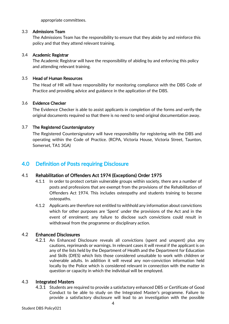appropriate committees.

#### 3.3 Admissions Team

The Admissions Team has the responsibility to ensure that they abide by and reinforce this policy and that they attend relevant training.

#### 3.4 Academic Registrar

The Academic Registrar will have the responsibility of abiding by and enforcing this policy and attending relevant training.

#### 3.5 Head of Human Resources

The Head of HR will have responsibility for monitoring compliance with the DBS Code of Practice and providing advice and guidance in the application of the DBS.

#### 3.6 Evidence Checker

The Evidence Checker is able to assist applicants in completion of the forms and verify the original documents required so that there is no need to send original documentation away.

### 3.7 The Registered Countersignatory

The Registered Countersignatory will have responsibility for registering with the DBS and operating within the Code of Practice. (RCPA, Victoria House, Victoria Street, Taunton, Somerset, TA1 3GA)

# <span id="page-3-0"></span>4.0 Definition of Posts requiring Disclosure

### 4.1 Rehabilitation of Offenders Act 1974 (Exceptions) Order 1975

- 4.1.1 In order to protect certain vulnerable groups within society, there are a number of posts and professions that are exempt from the provisions of the Rehabilitation of Offenders Act 1974. This includes osteopathy and students training to become osteopaths.
- 4.1.2 Applicants are therefore not entitled to withhold any information about convictions which for other purposes are 'Spent' under the provisions of the Act and in the event of enrolment; any failure to disclose such convictions could result in withdrawal from the programme or disciplinary action.

### 4.2 Enhanced Disclosures

4.2.1 An Enhanced Disclosure reveals all convictions (spent and unspent) plus any cautions, reprimands or warnings. In relevant cases it will reveal if the applicant is on any of the lists held by the Department of Health and the Department for Education and Skills (DfES) which lists those considered unsuitable to work with children or vulnerable adults. In addition it will reveal any non-conviction information held locally by the Police which is considered relevant in connection with the matter in question or capacity in which the individual will be employed.

### 4.3 Integrated Masters

4.3.1 Students are required to provide a satisfactory enhanced DBS or Certificate of Good Conduct to be able to study on the Integrated Master's programme. Failure to provide a satisfactory disclosure will lead to an investigation with the possible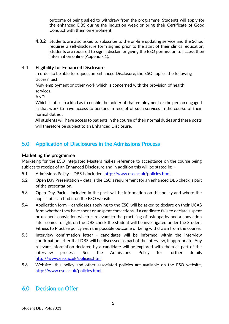outcome of being asked to withdraw from the programme. Students will apply for the enhanced DBS during the induction week or bring their Certificate of Good Conduct with them on enrolment.

4.3.2 Students are also asked to subscribe to the on-line updating service and the School requires a self-disclosure form signed prior to the start of their clinical education. Students are required to sign a disclaimer giving the ESO permission to access their information online (Appendix 1).

### 4.4 Eligibility for Enhanced Disclosure

In order to be able to request an Enhanced Disclosure, the ESO applies the following 'access' test.

"Any employment or other work which is concerned with the provision of health services.

AND

Which is of such a kind as to enable the holder of that employment or the person engaged in that work to have access to persons in receipt of such services in the course of their normal duties".

All students will have access to patients in the course of their normal duties and these posts will therefore be subject to an Enhanced Disclosure.

# <span id="page-4-0"></span>5.0 Application of Disclosures in the Admissions Process

### Marketing the programme

Marketing for the ESO Integrated Masters makes reference to acceptance on the course being subject to receipt of an Enhanced Disclosure and in addition this will be stated in: -

- 5.1 Admissions Policy DBS is included,<http://www.eso.ac.uk/policies.html>
- 5.2 Open Day Presentation details the ESO's requirement for an enhanced DBS check is part of the presentation.
- 5.3 Open Day Pack included in the pack will be information on this policy and where the applicants can find it on the ESO website.
- 5.4 Application form candidates applying to the ESO will be asked to declare on their UCAS form whether they have spent or unspent convictions. If a candidate fails to declare a spent or unspent conviction which is relevant to the practising of osteopathy and a conviction later comes to light on the DBS check the student will be investigated under the Student Fitness to Practise policy with the possible outcome of being withdrawn from the course.
- 5.5 Interview confirmation letter candidates will be informed within the interview confirmation letter that DBS will be discussed as part of the interview, if appropriate. Any relevant information declared by a candidate will be explored with them as part of the interview process. See the Admissions Policy for further details <http://www.eso.ac.uk/policies.html>
- 5.6 Website- this policy and other associated policies are available on the ESO website, <http://www.eso.ac.uk/policies.html>

# <span id="page-4-1"></span>6.0 Decision on Offer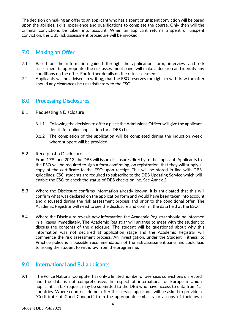The decision on making an offer to an applicant who has a spent or unspent conviction will be based upon the abilities, skills, experience and qualifications to complete the course. Only then will the criminal convictions be taken into account. When an applicant returns a spent or unspent conviction, the DBS risk assessment procedure will be invoked.

# <span id="page-5-0"></span>7.0 Making an Offer

- 7.1 Based on the information gained through the application form, interview and risk assessment (if appropriate) the risk assessment panel will make a decision and identify any conditions on the offer. For further details on the risk assessment.
- 7.2 Applicants will be advised, in writing, that the ESO reserves the right to withdraw the offer should any clearances be unsatisfactory to the ESO.

### <span id="page-5-1"></span>8.0 Processing Disclosures

- 8.1 Requesting a Disclosure
	- 8.1.1 Following the decision to offer a place the Admissions Officer will give the applicant details for online application for a DBS check.
	- 8.1.2 The completion of the application will be completed during the induction week where support will be provided.

#### 8.2 Receipt of a Disclosure

From 17<sup>th</sup> June 2013, the DBS will issue disclosures directly to the applicant. Applicants to the ESO will be required to sign a form confirming, on registration, that they will supply a copy of the certificate to the ESO upon receipt. This will be stored in line with DBS guidelines. ESO students are required to subscribe to the DBS Updating Service which will enable the ESO to check the status of DBS checks online. See Annex 2.

- 8.3 Where the Disclosure confirms information already known, it is anticipated that this will confirm what was declared on the application form and would have been taken into account and discussed during the risk assessment process and prior to the conditional offer. The Academic Registrar will need to see the disclosure and confirm the data held at the ESO.
- 8.4 Where the Disclosure reveals new information the Academic Registrar should be informed in all cases immediately. The Academic Registrar will arrange to meet with the student to discuss the contents of the disclosure. The student will be questioned about why this information was not declared at application stage and the Academic Registrar will commence the risk assessment process. An investigation, under the Student Fitness to Practice policy is a possible recommendation of the risk assessment panel and could lead to asking the student to withdraw from the programme.

### <span id="page-5-2"></span>9.0 International and EU applicants

9.1 The Police National Computer has only a limited number of overseas convictions on record and the data is not comprehensive. In respect of international or European Union applicants, a fax request may be submitted to the DBS who have access to data from 15 countries. Where countries do not offer this service applicants will be asked to provide a "Certificate of Good Conduct" from the appropriate embassy or a copy of their own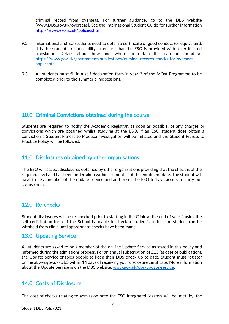criminal record from overseas. For further guidance, go to the DBS website [\[www.DBS.gov.uk/overseas\]](http://www.dbs.gov.uk/overseas). See the International Student Guide for further informatio[n](http://www.eso.ac.uk/policies.html) <http://www.eso.ac.uk/policies.html>

- 9.2 International and EU students need to obtain a certificate of good conduct (or equivalent), it is the student's responsibility to ensure that the ESO is provided with a certificated translation. Details about how and where to obtain this can be found at [https://www.gov.uk/government/publications/criminal-records-checks-for-overseas](https://www.gov.uk/government/publications/criminal-records-checks-for-overseas-applicants)[applicants.](https://www.gov.uk/government/publications/criminal-records-checks-for-overseas-applicants)
- 9.3 All students must fill in a self-declaration form in year 2 of the MOst Programme to be completed prior to the summer clinic sessions.

### <span id="page-6-0"></span>10.0 Criminal Convictions obtained during the course

Students are required to notify the Academic Registrar, as soon as possible, of any charges or convictions which are obtained whilst studying at the ESO. If an ESO student does obtain a conviction a Student Fitness to Practice investigation will be initiated and the Student Fitness to Practice Policy will be followed.

### <span id="page-6-1"></span>11.0 Disclosures obtained by other organisations

The ESO will accept disclosures obtained by other organisations providing that the check is of the required level and has been undertaken within six months of the enrolment date. The student will have to be a member of the update service and authorises the ESO to have access to carry out status checks.

### <span id="page-6-2"></span>12.0 Re-checks

Student disclosures will be re-checked prior to starting in the Clinic at the end of year 2 using the self-certification form. If the School is unable to check a student's status, the student can be withheld from clinic until appropriate checks have been made.

### <span id="page-6-3"></span>13.0 Updating Service

All students are asked to be a member of the on-line Update Service as stated in this policy and informed during the admissions process. For an annual subscription of £13 (at date of publication), the Update Service enables people to keep their DBS check up-to-date. Student must register online at ww.gov.uk/DBS within 14 days of receiving your disclosure certificate. More information about the Update Service is on the DBS website, [www.gov.uk/dbs-update-service.](http://www.gov.uk/dbs-update-service)

### <span id="page-6-4"></span>14.0 Costs of Disclosure

The cost of checks relating to admission onto the ESO Integrated Masters will be met by the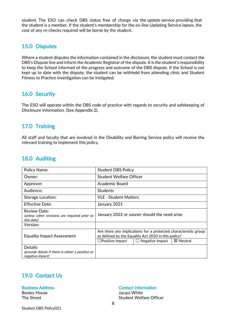student. The ESO can check DBS status free of charge via the update service providing that the student is a member. If the student's membership for the on-line Updating Service lapses, the cost of any re-checks required will be borne by the student.

### <span id="page-7-0"></span>15.0 Disputes

Where a student disputes the information contained in the disclosure, the student must contact the DBS's Dispute line and inform the Academic Registrar of the dispute. It is the student's responsibility to keep the School informed of the progress and outcome of the DBS dispute. If the School is not kept up to date with the dispute, the student can be withheld from attending clinic and Student Fitness to Practice investigation can be instigated.

### <span id="page-7-1"></span>16.0 Security

The ESO will operate within the DBS code of practice with regards to security and safekeeping of Disclosure information. (See Appendix 2).

# <span id="page-7-2"></span>17.0 Training

All staff and faculty that are involved in the Disability and Barring Service policy will receive the relevant training to implement this policy.

### <span id="page-7-3"></span>18.0 Auditing

| <b>Policy Name:</b>                                                               | <b>Student DBS Policy</b>                                                                                                                                                               |
|-----------------------------------------------------------------------------------|-----------------------------------------------------------------------------------------------------------------------------------------------------------------------------------------|
| Owner:                                                                            | <b>Student Welfare Officer</b>                                                                                                                                                          |
| Approver:                                                                         | Academic Board                                                                                                                                                                          |
| Audience:                                                                         | <b>Students</b>                                                                                                                                                                         |
| Storage Location:                                                                 | VLE-Student Matters                                                                                                                                                                     |
| <b>Effective Date:</b>                                                            | January 2021                                                                                                                                                                            |
| Review Date:<br>(unless other revisions are required prior to<br>this date)       | January 2022 or sooner should the need arise                                                                                                                                            |
| Version:                                                                          |                                                                                                                                                                                         |
| <b>Equality Impact Assessment</b>                                                 | Are there any implications for a protected characteristic group<br>as defined by the Equality Act 2010 in this policy?<br>$\Box$ Positive impact<br><b>区 Neutral</b><br>Negative impact |
| Details:<br>(provide details if there is either a positive or<br>negative impact) |                                                                                                                                                                                         |

# <span id="page-7-4"></span>19.0 Contact Us

### Business Address **Contact Information**

Boxley House **In the South American** Boxley House Jacqui White The Street Street Student Welfare Officer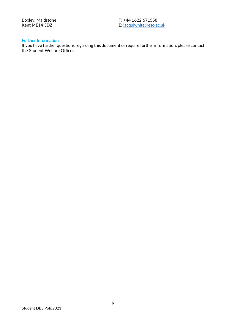Boxley, Maidstone T: +44 1622 671558 Kent ME14 3DZ E: [jacquiwhite@eso.ac.uk](mailto:jacquiwhite@eso.ac.uk)

#### Further Information

If you have further questions regarding this document or require further information; please contact the Student Welfare Officer.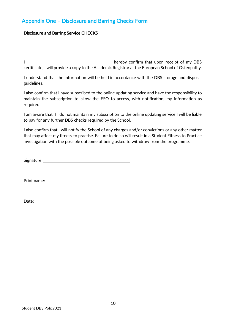# <span id="page-9-0"></span>Appendix One – Disclosure and Barring Checks Form

### Disclosure and Barring Service CHECKS

I hereby confirm that upon receipt of my DBS certificate, I will provide a copy to the Academic Registrar at the European School of Osteopathy.

I understand that the information will be held in accordance with the DBS storage and disposal guidelines.

I also confirm that I have subscribed to the online updating service and have the responsibility to maintain the subscription to allow the ESO to access, with notification, my information as required.

I am aware that if I do not maintain my subscription to the online updating service I will be liable to pay for any further DBS checks required by the School.

I also confirm that I will notify the School of any charges and/or convictions or any other matter that may affect my fitness to practise. Failure to do so will result in a Student Fitness to Practice investigation with the possible outcome of being asked to withdraw from the programme.

Signature: and the state of the state of the state of the state of the state of the state of the state of the state of the state of the state of the state of the state of the state of the state of the state of the state of

Print name:

Date: **Date: Date: Date: Date: Date: Date: Date: Date: Date: Date: Date: Date: Date: Date: Date: Date: Date: Date: Date: Date: Date: Date: Date: Date: Date: Date: Date:**